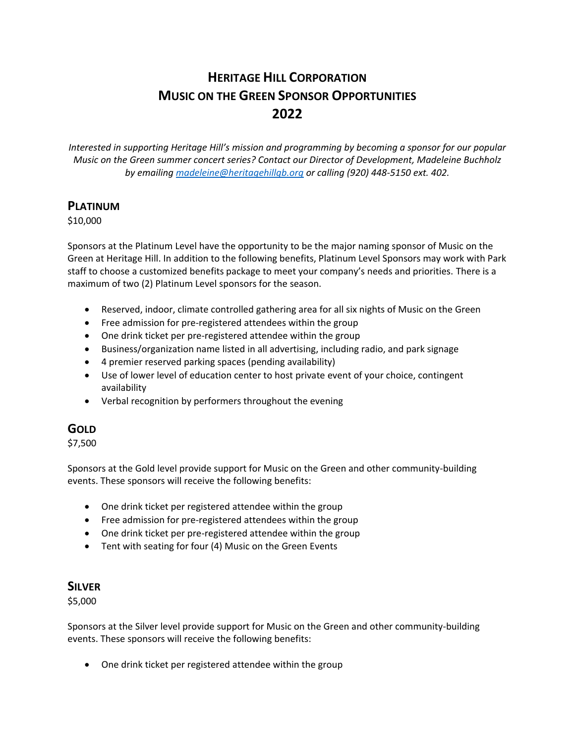# **HERITAGE HILL CORPORATION MUSIC ON THE GREEN SPONSOR OPPORTUNITIES 2022**

*Interested in supporting Heritage Hill's mission and programming by becoming a sponsor for our popular Music on the Green summer concert series? Contact our Director of Development, Madeleine Buchholz by emailing [madeleine@heritagehillgb.org](mailto:madeleine@heritagehillgb.org) or calling (920) 448-5150 ext. 402.* 

### **PLATINUM**

\$10,000

Sponsors at the Platinum Level have the opportunity to be the major naming sponsor of Music on the Green at Heritage Hill. In addition to the following benefits, Platinum Level Sponsors may work with Park staff to choose a customized benefits package to meet your company's needs and priorities. There is a maximum of two (2) Platinum Level sponsors for the season.

- Reserved, indoor, climate controlled gathering area for all six nights of Music on the Green
- Free admission for pre-registered attendees within the group
- One drink ticket per pre-registered attendee within the group
- Business/organization name listed in all advertising, including radio, and park signage
- 4 premier reserved parking spaces (pending availability)
- Use of lower level of education center to host private event of your choice, contingent availability
- Verbal recognition by performers throughout the evening

## **GOLD**

\$7,500

Sponsors at the Gold level provide support for Music on the Green and other community-building events. These sponsors will receive the following benefits:

- One drink ticket per registered attendee within the group
- Free admission for pre-registered attendees within the group
- One drink ticket per pre-registered attendee within the group
- Tent with seating for four (4) Music on the Green Events

### **SILVER**

\$5,000

Sponsors at the Silver level provide support for Music on the Green and other community-building events. These sponsors will receive the following benefits:

• One drink ticket per registered attendee within the group